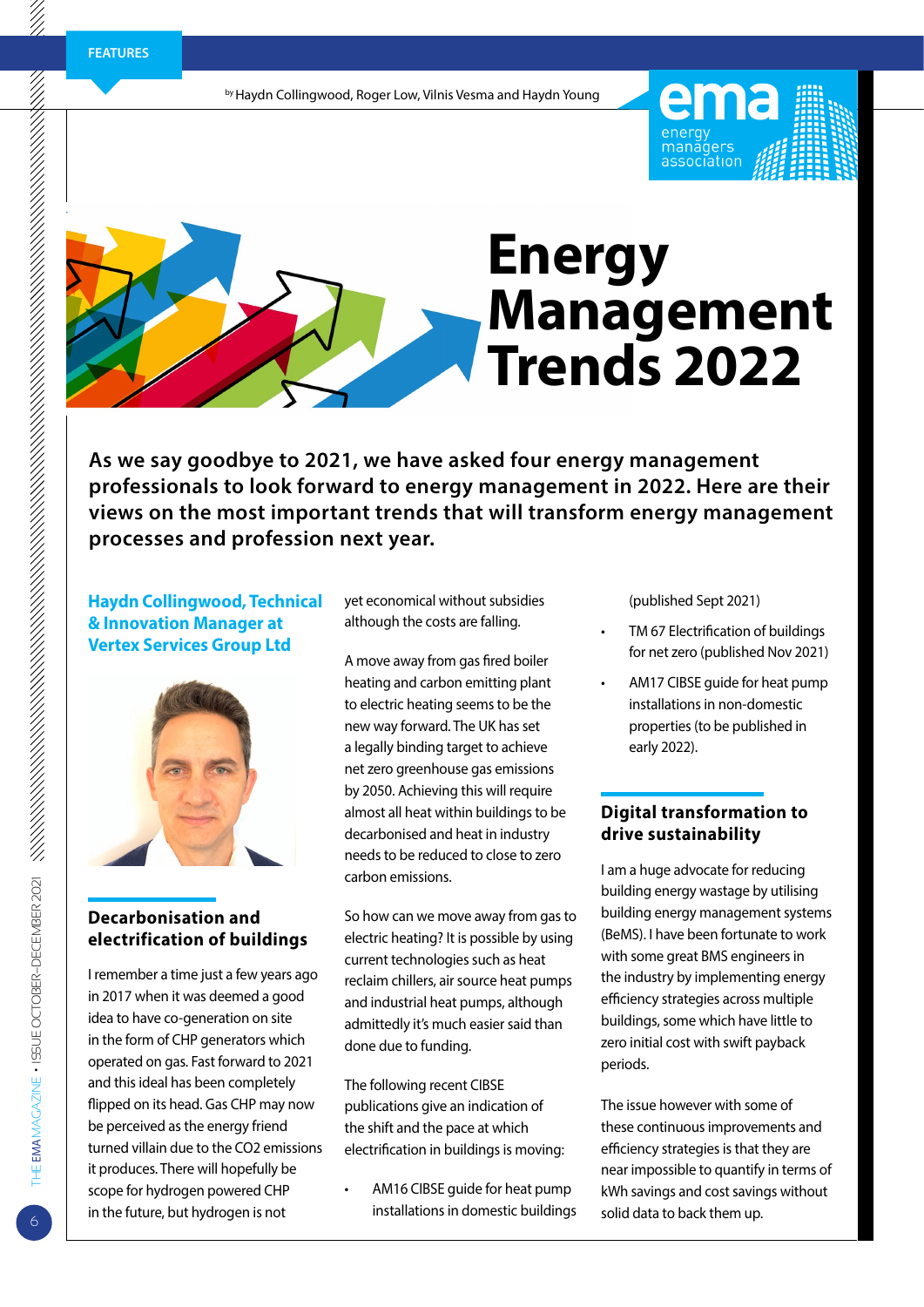by Haydn Collingwood, Roger Low, Vilnis Vesma and Haydn Young

# **Energy Management Trends 2022**

**As we say goodbye to 2021, we have asked four energy management professionals to look forward to energy management in 2022. Here are their views on the most important trends that will transform energy management processes and profession next year.** 

## **Haydn Collingwood, Technical & Innovation Manager at Vertex Services Group Ltd**



# **Decarbonisation and electrification of buildings**

I remember a time just a few years ago in 2017 when it was deemed a good idea to have co-generation on site in the form of CHP generators which operated on gas. Fast forward to 2021 and this ideal has been completely flipped on its head. Gas CHP may now be perceived as the energy friend turned villain due to the CO2 emissions it produces. There will hopefully be scope for hydrogen powered CHP in the future, but hydrogen is not

yet economical without subsidies although the costs are falling.

A move away from gas fired boiler heating and carbon emitting plant to electric heating seems to be the new way forward. The UK has set a legally binding target to achieve net zero greenhouse gas emissions by 2050. Achieving this will require almost all heat within buildings to be decarbonised and heat in industry needs to be reduced to close to zero carbon emissions.

So how can we move away from gas to electric heating? It is possible by using current technologies such as heat reclaim chillers, air source heat pumps and industrial heat pumps, although admittedly it's much easier said than done due to funding.

The following recent CIBSE publications give an indication of the shift and the pace at which electrification in buildings is moving:

AM16 CIBSE quide for heat pump installations in domestic buildings (published Sept 2021)

energy<br>managers<br>associatior

- TM 67 Electrification of buildings for net zero (published Nov 2021)
- AM17 CIBSE guide for heat pump installations in non-domestic properties (to be published in early 2022).

## **Digital transformation to drive sustainability**

I am a huge advocate for reducing building energy wastage by utilising building energy management systems (BeMS). I have been fortunate to work with some great BMS engineers in the industry by implementing energy efficiency strategies across multiple buildings, some which have little to zero initial cost with swift payback periods.

The issue however with some of these continuous improvements and efficiency strategies is that they are near impossible to quantify in terms of kWh savings and cost savings without solid data to back them up.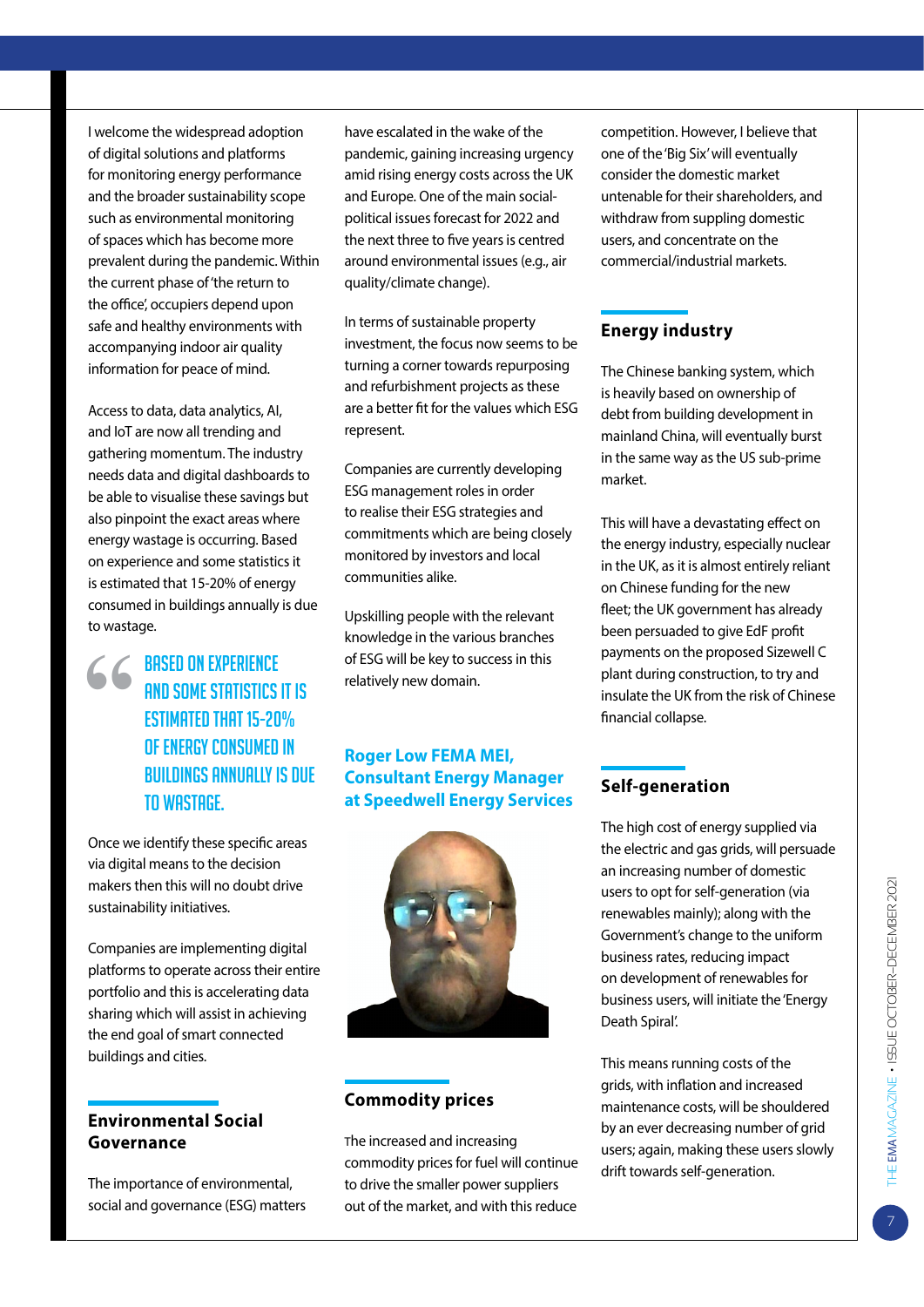I welcome the widespread adoption of digital solutions and platforms for monitoring energy performance and the broader sustainability scope such as environmental monitoring of spaces which has become more prevalent during the pandemic. Within the current phase of 'the return to the office', occupiers depend upon safe and healthy environments with accompanying indoor air quality information for peace of mind.

Access to data, data analytics, AI, and IoT are now all trending and gathering momentum. The industry needs data and digital dashboards to be able to visualise these savings but also pinpoint the exact areas where energy wastage is occurring. Based on experience and some statistics it is estimated that 15-20% of energy consumed in buildings annually is due to wastage.

**66 BASED ON EXPERIENCE** and some statistics it is estimated that 15-20% of energy consumed in buildings annually is due to wastage.

Once we identify these specific areas via digital means to the decision makers then this will no doubt drive sustainability initiatives.

Companies are implementing digital platforms to operate across their entire portfolio and this is accelerating data sharing which will assist in achieving the end goal of smart connected buildings and cities.

#### **Environmental Social Governance**

The importance of environmental, social and governance (ESG) matters have escalated in the wake of the pandemic, gaining increasing urgency amid rising energy costs across the UK and Europe. One of the main socialpolitical issues forecast for 2022 and the next three to five years is centred around environmental issues (e.g., air quality/climate change).

In terms of sustainable property investment, the focus now seems to be turning a corner towards repurposing and refurbishment projects as these are a better fit for the values which ESG represent.

Companies are currently developing ESG management roles in order to realise their ESG strategies and commitments which are being closely monitored by investors and local communities alike.

Upskilling people with the relevant knowledge in the various branches of ESG will be key to success in this relatively new domain.

## **Roger Low FEMA MEI, Consultant Energy Manager at Speedwell Energy Services**



## **Commodity prices**

The increased and increasing commodity prices for fuel will continue to drive the smaller power suppliers out of the market, and with this reduce

competition. However, I believe that one of the 'Big Six' will eventually consider the domestic market untenable for their shareholders, and withdraw from suppling domestic users, and concentrate on the commercial/industrial markets.

## **Energy industry**

The Chinese banking system, which is heavily based on ownership of debt from building development in mainland China, will eventually burst in the same way as the US sub-prime market.

This will have a devastating effect on the energy industry, especially nuclear in the UK, as it is almost entirely reliant on Chinese funding for the new fleet; the UK government has already been persuaded to give EdF profit payments on the proposed Sizewell C plant during construction, to try and insulate the UK from the risk of Chinese financial collapse.

# **Self-generation**

The high cost of energy supplied via the electric and gas grids, will persuade an increasing number of domestic users to opt for self-generation (via renewables mainly); along with the Government's change to the uniform business rates, reducing impact on development of renewables for business users, will initiate the 'Energy Death Spiral'.

This means running costs of the grids, with inflation and increased maintenance costs, will be shouldered by an ever decreasing number of grid users; again, making these users slowly drift towards self-generation.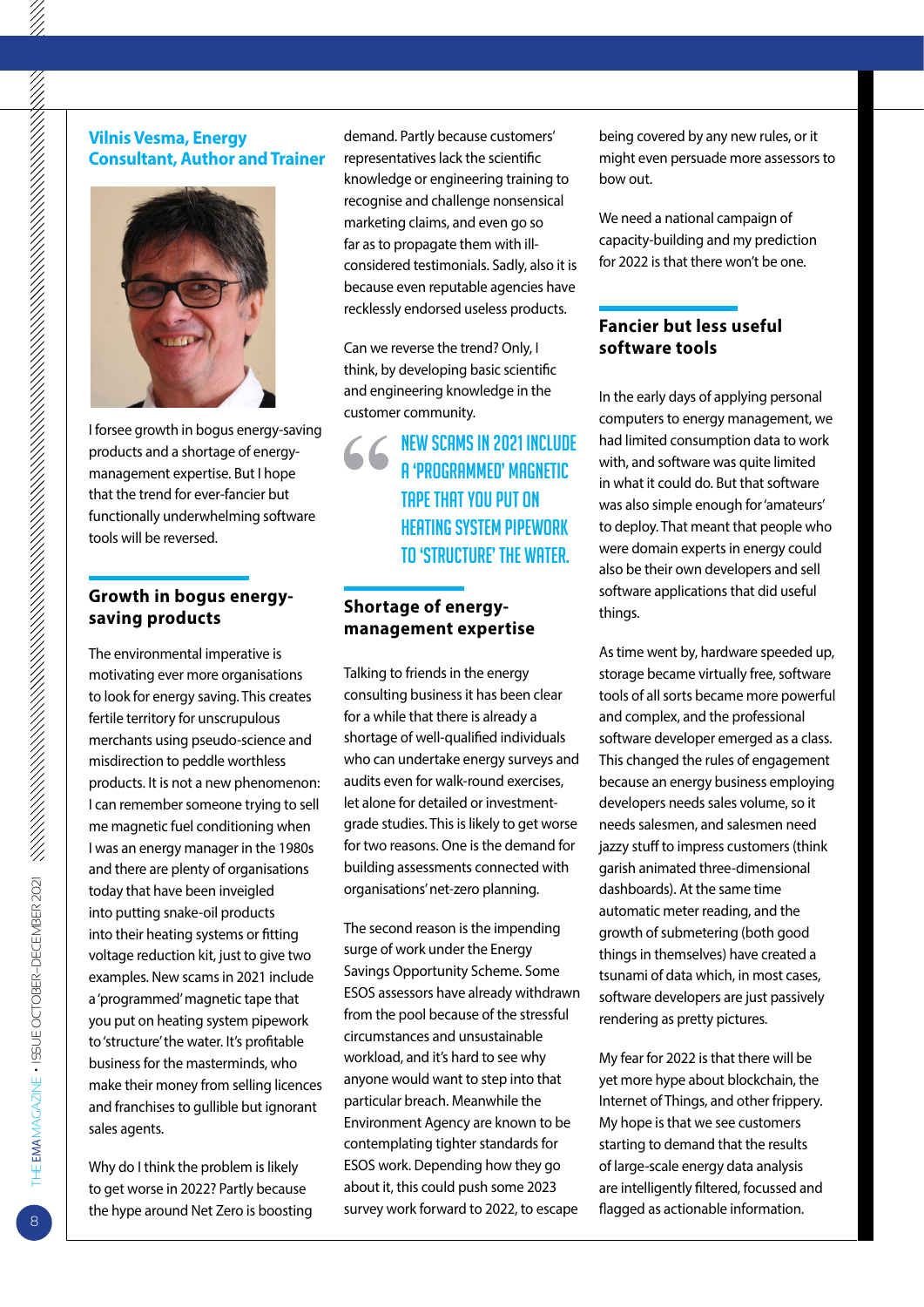#### **Vilnis Vesma, Energy Consultant, Author and Trainer**



I forsee growth in bogus energy-saving products and a shortage of energymanagement expertise. But I hope that the trend for ever-fancier but functionally underwhelming software tools will be reversed.

#### **Growth in bogus energysaving products**

The environmental imperative is motivating ever more organisations to look for energy saving. This creates fertile territory for unscrupulous merchants using pseudo-science and misdirection to peddle worthless products. It is not a new phenomenon: I can remember someone trying to sell me magnetic fuel conditioning when I was an energy manager in the 1980s and there are plenty of organisations today that have been inveigled into putting snake-oil products into their heating systems or fitting voltage reduction kit, just to give two examples. New scams in 2021 include a 'programmed' magnetic tape that you put on heating system pipework to 'structure' the water. It's profitable business for the masterminds, who make their money from selling licences and franchises to gullible but ignorant sales agents.

Why do I think the problem is likely to get worse in 2022? Partly because the hype around Net Zero is boosting demand. Partly because customers' representatives lack the scientific knowledge or engineering training to recognise and challenge nonsensical marketing claims, and even go so far as to propagate them with illconsidered testimonials. Sadly, also it is because even reputable agencies have recklessly endorsed useless products.

Can we reverse the trend? Only, I think, by developing basic scientific and engineering knowledge in the customer community.

> **"**New scams in 2021 include a 'programmed' magnetic tape that you put on heating system pipework to 'structure' the water.

## **Shortage of energymanagement expertise**

Talking to friends in the energy consulting business it has been clear for a while that there is already a shortage of well-qualified individuals who can undertake energy surveys and audits even for walk-round exercises, let alone for detailed or investmentgrade studies. This is likely to get worse for two reasons. One is the demand for building assessments connected with organisations' net-zero planning.

The second reason is the impending surge of work under the Energy Savings Opportunity Scheme. Some ESOS assessors have already withdrawn from the pool because of the stressful circumstances and unsustainable workload, and it's hard to see why anyone would want to step into that particular breach. Meanwhile the Environment Agency are known to be contemplating tighter standards for ESOS work. Depending how they go about it, this could push some 2023 survey work forward to 2022, to escape

being covered by any new rules, or it might even persuade more assessors to bow out.

We need a national campaign of capacity-building and my prediction for 2022 is that there won't be one.

## **Fancier but less useful software tools**

In the early days of applying personal computers to energy management, we had limited consumption data to work with, and software was quite limited in what it could do. But that software was also simple enough for 'amateurs' to deploy. That meant that people who were domain experts in energy could also be their own developers and sell software applications that did useful things.

As time went by, hardware speeded up, storage became virtually free, software tools of all sorts became more powerful and complex, and the professional software developer emerged as a class. This changed the rules of engagement because an energy business employing developers needs sales volume, so it needs salesmen, and salesmen need jazzy stuff to impress customers (think garish animated three-dimensional dashboards). At the same time automatic meter reading, and the growth of submetering (both good things in themselves) have created a tsunami of data which, in most cases, software developers are just passively rendering as pretty pictures.

My fear for 2022 is that there will be yet more hype about blockchain, the Internet of Things, and other frippery. My hope is that we see customers starting to demand that the results of large-scale energy data analysis are intelligently filtered, focussed and flagged as actionable information.